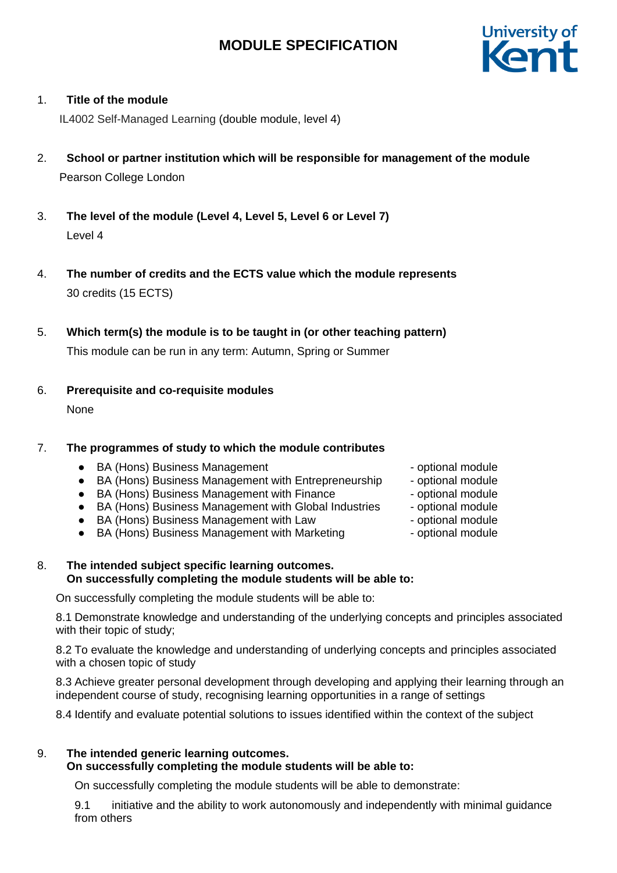

# 1. **Title of the module**

IL4002 Self-Managed Learning (double module, level 4)

- 2. **School or partner institution which will be responsible for management of the module** Pearson College London
- 3. **The level of the module (Level 4, Level 5, Level 6 or Level 7)** Level 4
- 4. **The number of credits and the ECTS value which the module represents**  30 credits (15 ECTS)
- 5. **Which term(s) the module is to be taught in (or other teaching pattern)**

This module can be run in any term: Autumn, Spring or Summer

6. **Prerequisite and co-requisite modules**

None

# 7. **The programmes of study to which the module contributes**

- BA (Hons) Business Management and the optional module
- BA (Hons) Business Management with Entrepreneurship optional module
- BA (Hons) Business Management with Finance optional module
- BA (Hons) Business Management with Global Industries optional module
- BA (Hons) Business Management with Law optional module
- BA (Hons) Business Management with Marketing optional module
- 8. **The intended subject specific learning outcomes. On successfully completing the module students will be able to:**

On successfully completing the module students will be able to:

8.1 Demonstrate knowledge and understanding of the underlying concepts and principles associated with their topic of study;

8.2 To evaluate the knowledge and understanding of underlying concepts and principles associated with a chosen topic of study

8.3 Achieve greater personal development through developing and applying their learning through an independent course of study, recognising learning opportunities in a range of settings

8.4 Identify and evaluate potential solutions to issues identified within the context of the subject

# 9. **The intended generic learning outcomes.**

# **On successfully completing the module students will be able to:**

On successfully completing the module students will be able to demonstrate:

9.1 initiative and the ability to work autonomously and independently with minimal guidance from others

- 
- 
- 
- 
- 
-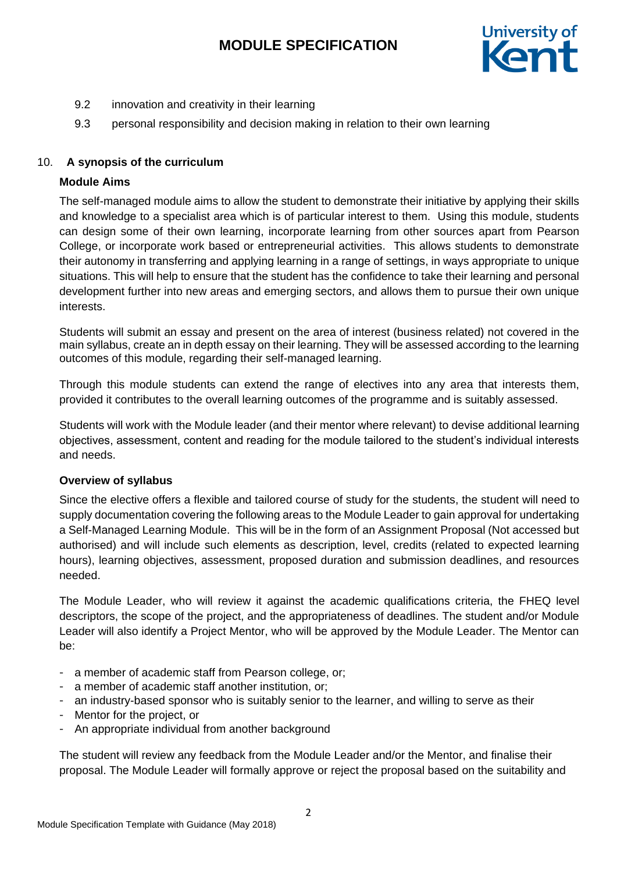

- 9.2 innovation and creativity in their learning
- 9.3 personal responsibility and decision making in relation to their own learning

# 10. **A synopsis of the curriculum**

# **Module Aims**

The self-managed module aims to allow the student to demonstrate their initiative by applying their skills and knowledge to a specialist area which is of particular interest to them. Using this module, students can design some of their own learning, incorporate learning from other sources apart from Pearson College, or incorporate work based or entrepreneurial activities. This allows students to demonstrate their autonomy in transferring and applying learning in a range of settings, in ways appropriate to unique situations. This will help to ensure that the student has the confidence to take their learning and personal development further into new areas and emerging sectors, and allows them to pursue their own unique interests.

Students will submit an essay and present on the area of interest (business related) not covered in the main syllabus, create an in depth essay on their learning. They will be assessed according to the learning outcomes of this module, regarding their self-managed learning.

Through this module students can extend the range of electives into any area that interests them, provided it contributes to the overall learning outcomes of the programme and is suitably assessed.

Students will work with the Module leader (and their mentor where relevant) to devise additional learning objectives, assessment, content and reading for the module tailored to the student's individual interests and needs.

# **Overview of syllabus**

Since the elective offers a flexible and tailored course of study for the students, the student will need to supply documentation covering the following areas to the Module Leader to gain approval for undertaking a Self-Managed Learning Module. This will be in the form of an Assignment Proposal (Not accessed but authorised) and will include such elements as description, level, credits (related to expected learning hours), learning objectives, assessment, proposed duration and submission deadlines, and resources needed.

The Module Leader, who will review it against the academic qualifications criteria, the FHEQ level descriptors, the scope of the project, and the appropriateness of deadlines. The student and/or Module Leader will also identify a Project Mentor, who will be approved by the Module Leader. The Mentor can be:

- a member of academic staff from Pearson college, or;
- a member of academic staff another institution, or;
- an industry-based sponsor who is suitably senior to the learner, and willing to serve as their
- Mentor for the project, or
- An appropriate individual from another background

The student will review any feedback from the Module Leader and/or the Mentor, and finalise their proposal. The Module Leader will formally approve or reject the proposal based on the suitability and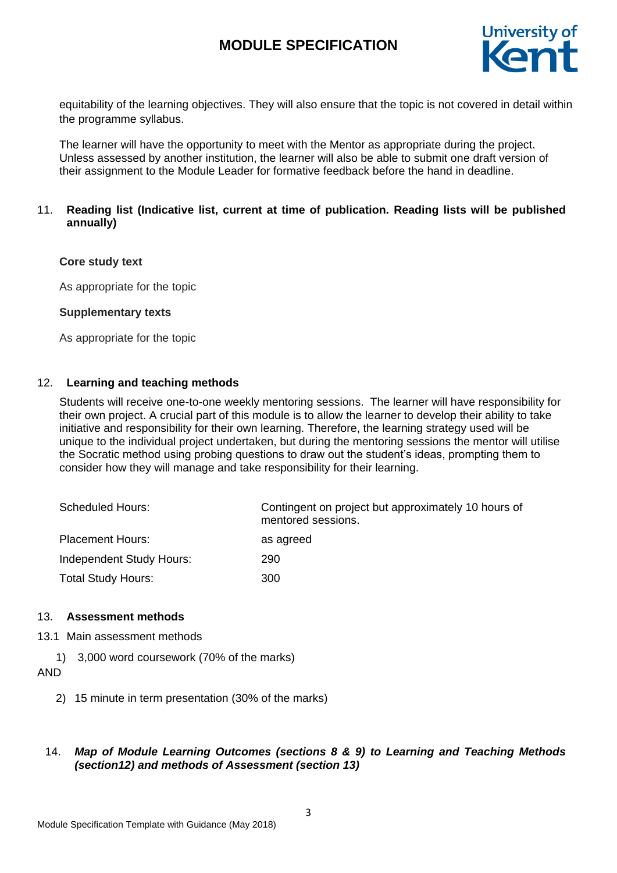

equitability of the learning objectives. They will also ensure that the topic is not covered in detail within the programme syllabus.

The learner will have the opportunity to meet with the Mentor as appropriate during the project. Unless assessed by another institution, the learner will also be able to submit one draft version of their assignment to the Module Leader for formative feedback before the hand in deadline.

# 11. **Reading list (Indicative list, current at time of publication. Reading lists will be published annually)**

### **Core study text**

As appropriate for the topic

### **Supplementary texts**

As appropriate for the topic

### 12. **Learning and teaching methods**

Students will receive one-to-one weekly mentoring sessions. The learner will have responsibility for their own project. A crucial part of this module is to allow the learner to develop their ability to take initiative and responsibility for their own learning. Therefore, the learning strategy used will be unique to the individual project undertaken, but during the mentoring sessions the mentor will utilise the Socratic method using probing questions to draw out the student's ideas, prompting them to consider how they will manage and take responsibility for their learning.

| <b>Scheduled Hours:</b>   | Contingent on project but approximately 10 hours of<br>mentored sessions. |
|---------------------------|---------------------------------------------------------------------------|
| <b>Placement Hours:</b>   | as agreed                                                                 |
| Independent Study Hours:  | 290                                                                       |
| <b>Total Study Hours:</b> | 300                                                                       |

#### 13. **Assessment methods**

- 13.1 Main assessment methods
	- 1) 3,000 word coursework (70% of the marks)

#### AND

2) 15 minute in term presentation (30% of the marks)

# 14. *Map of Module Learning Outcomes (sections 8 & 9) to Learning and Teaching Methods (section12) and methods of Assessment (section 13)*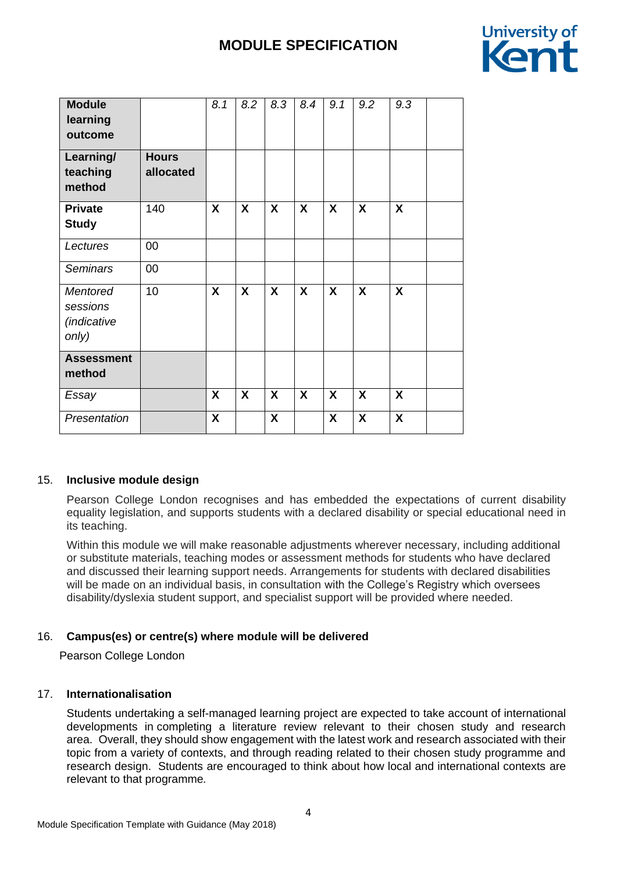

| <b>Module</b><br>learning<br>outcome                       |                           | 8.1                       | 8.2 | 8.3 | 8.4 | 9.1              | 9.2              | 9.3                       |
|------------------------------------------------------------|---------------------------|---------------------------|-----|-----|-----|------------------|------------------|---------------------------|
| Learning/<br>teaching<br>method                            | <b>Hours</b><br>allocated |                           |     |     |     |                  |                  |                           |
| <b>Private</b><br><b>Study</b>                             | 140                       | X                         | X   | X   | X   | $\boldsymbol{X}$ | X                | $\boldsymbol{X}$          |
| Lectures                                                   | 00                        |                           |     |     |     |                  |                  |                           |
| <b>Seminars</b>                                            | 00                        |                           |     |     |     |                  |                  |                           |
| <b>Mentored</b><br>sessions<br><i>(indicative</i><br>only) | 10                        | X                         | X   | X   | X   | X                | $\boldsymbol{X}$ | $\boldsymbol{\mathsf{X}}$ |
| <b>Assessment</b><br>method                                |                           |                           |     |     |     |                  |                  |                           |
| Essay                                                      |                           | X                         | X   | X   | X   | X                | X                | $\boldsymbol{X}$          |
| Presentation                                               |                           | $\boldsymbol{\mathsf{X}}$ |     | X   |     | X                | X                | $\boldsymbol{X}$          |

# 15. **Inclusive module design**

Pearson College London recognises and has embedded the expectations of current disability equality legislation, and supports students with a declared disability or special educational need in its teaching.

Within this module we will make reasonable adjustments wherever necessary, including additional or substitute materials, teaching modes or assessment methods for students who have declared and discussed their learning support needs. Arrangements for students with declared disabilities will be made on an individual basis, in consultation with the College's Registry which oversees disability/dyslexia student support, and specialist support will be provided where needed.

# 16. **Campus(es) or centre(s) where module will be delivered**

Pearson College London

# 17. **Internationalisation**

Students undertaking a self-managed learning project are expected to take account of international developments in completing a literature review relevant to their chosen study and research area. Overall, they should show engagement with the latest work and research associated with their topic from a variety of contexts, and through reading related to their chosen study programme and research design. Students are encouraged to think about how local and international contexts are relevant to that programme*.*